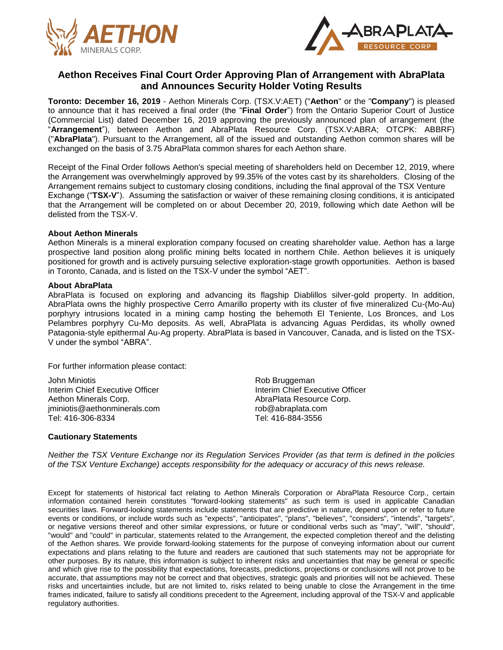



## **Aethon Receives Final Court Order Approving Plan of Arrangement with AbraPlata and Announces Security Holder Voting Results**

**Toronto: December 16, 2019** - Aethon Minerals Corp. (TSX.V:AET) ("**Aethon**" or the "**Company**") is pleased to announce that it has received a final order (the "**Final Order**") from the Ontario Superior Court of Justice (Commercial List) dated December 16, 2019 approving the previously announced plan of arrangement (the "**Arrangement**"), between Aethon and AbraPlata Resource Corp. (TSX.V:ABRA; OTCPK: ABBRF) ("**AbraPlata**"). Pursuant to the Arrangement, all of the issued and outstanding Aethon common shares will be exchanged on the basis of 3.75 AbraPlata common shares for each Aethon share.

Receipt of the Final Order follows Aethon's special meeting of shareholders held on December 12, 2019, where the Arrangement was overwhelmingly approved by 99.35% of the votes cast by its shareholders. Closing of the Arrangement remains subject to customary closing conditions, including the final approval of the TSX Venture Exchange ("**TSX-V**"). Assuming the satisfaction or waiver of these remaining closing conditions, it is anticipated that the Arrangement will be completed on or about December 20, 2019, following which date Aethon will be delisted from the TSX-V.

## **About Aethon Minerals**

Aethon Minerals is a mineral exploration company focused on creating shareholder value. Aethon has a large prospective land position along prolific mining belts located in northern Chile. Aethon believes it is uniquely positioned for growth and is actively pursuing selective exploration-stage growth opportunities. Aethon is based in Toronto, Canada, and is listed on the TSX-V under the symbol "AET".

## **About AbraPlata**

AbraPlata is focused on exploring and advancing its flagship Diablillos silver-gold property. In addition, AbraPlata owns the highly prospective Cerro Amarillo property with its cluster of five mineralized Cu-(Mo-Au) porphyry intrusions located in a mining camp hosting the behemoth El Teniente, Los Bronces, and Los Pelambres porphyry Cu-Mo deposits. As well, AbraPlata is advancing Aguas Perdidas, its wholly owned Patagonia-style epithermal Au-Ag property. AbraPlata is based in Vancouver, Canada, and is listed on the TSX-V under the symbol "ABRA".

For further information please contact:

John Miniotis **No. 2018 Rob Bruggeman** Interim Chief Executive Officer **Interim Chief Executive Officer** Interim Chief Executive Officer Aethon Minerals Corp. **Access 20 AbraPlata Resource Corp.** AbraPlata Resource Corp. jminiotis@aethonminerals.com rob@abraplata.com Tel: 416-306-8334 Tel: 416-884-3556

## **Cautionary Statements**

Neither the TSX Venture Exchange nor its Regulation Services Provider (as that term is defined in the policies *of the TSX Venture Exchange) accepts responsibility for the adequacy or accuracy of this news release.*

Except for statements of historical fact relating to Aethon Minerals Corporation or AbraPlata Resource Corp., certain information contained herein constitutes "forward-looking statements" as such term is used in applicable Canadian securities laws. Forward-looking statements include statements that are predictive in nature, depend upon or refer to future events or conditions, or include words such as "expects", "anticipates", "plans", "believes", "considers", "intends", "targets", or negative versions thereof and other similar expressions, or future or conditional verbs such as "may", "will", "should", "would" and "could" in particular, statements related to the Arrangement, the expected completion thereof and the delisting of the Aethon shares. We provide forward-looking statements for the purpose of conveying information about our current expectations and plans relating to the future and readers are cautioned that such statements may not be appropriate for other purposes. By its nature, this information is subject to inherent risks and uncertainties that may be general or specific and which give rise to the possibility that expectations, forecasts, predictions, projections or conclusions will not prove to be accurate, that assumptions may not be correct and that objectives, strategic goals and priorities will not be achieved. These risks and uncertainties include, but are not limited to, risks related to being unable to close the Arrangement in the time frames indicated, failure to satisfy all conditions precedent to the Agreement, including approval of the TSX-V and applicable regulatory authorities.